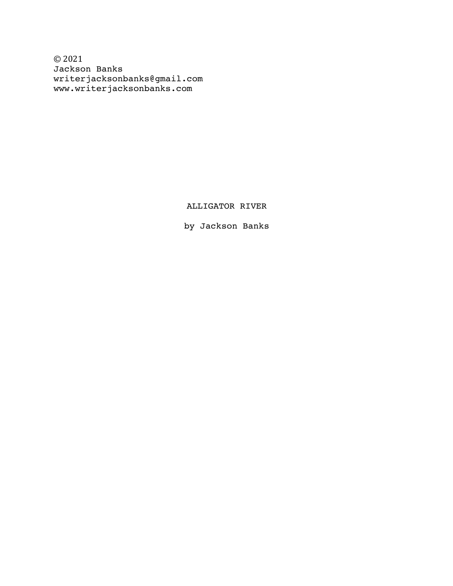© 2021 Jackson Banks writerjacksonbanks@gmail.com www.writerjacksonbanks.com

ALLIGATOR RIVER

by Jackson Banks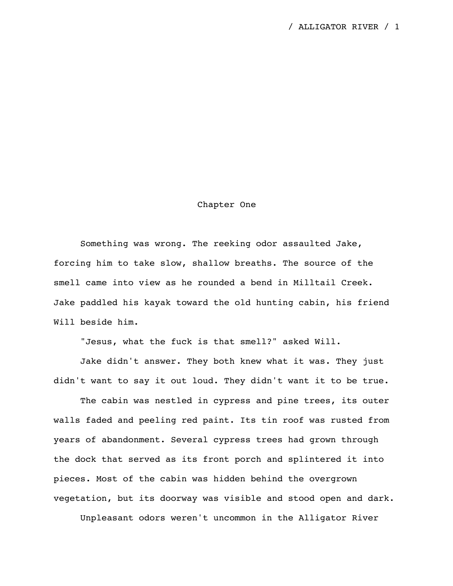## Chapter One

Something was wrong. The reeking odor assaulted Jake, forcing him to take slow, shallow breaths. The source of the smell came into view as he rounded a bend in Milltail Creek. Jake paddled his kayak toward the old hunting cabin, his friend Will beside him.

"Jesus, what the fuck is that smell?" asked Will.

Jake didn't answer. They both knew what it was. They just didn't want to say it out loud. They didn't want it to be true.

The cabin was nestled in cypress and pine trees, its outer walls faded and peeling red paint. Its tin roof was rusted from years of abandonment. Several cypress trees had grown through the dock that served as its front porch and splintered it into pieces. Most of the cabin was hidden behind the overgrown vegetation, but its doorway was visible and stood open and dark.

Unpleasant odors weren't uncommon in the Alligator River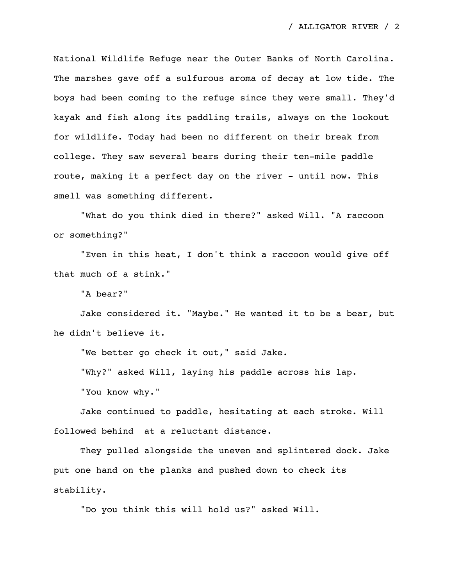National Wildlife Refuge near the Outer Banks of North Carolina. The marshes gave off a sulfurous aroma of decay at low tide. The boys had been coming to the refuge since they were small. They'd kayak and fish along its paddling trails, always on the lookout for wildlife. Today had been no different on their break from college. They saw several bears during their ten-mile paddle route, making it a perfect day on the river - until now. This smell was something different.

"What do you think died in there?" asked Will. "A raccoon or something?"

"Even in this heat, I don't think a raccoon would give off that much of a stink."

"A bear?"

Jake considered it. "Maybe." He wanted it to be a bear, but he didn't believe it.

"We better go check it out," said Jake.

"Why?" asked Will, laying his paddle across his lap.

"You know why."

Jake continued to paddle, hesitating at each stroke. Will followed behind at a reluctant distance.

They pulled alongside the uneven and splintered dock. Jake put one hand on the planks and pushed down to check its stability.

"Do you think this will hold us?" asked Will.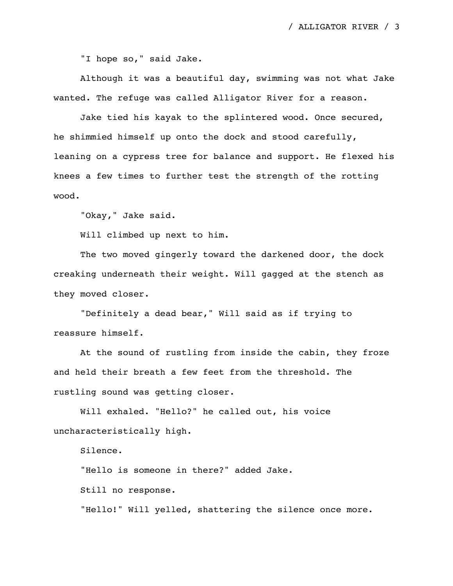"I hope so," said Jake.

Although it was a beautiful day, swimming was not what Jake wanted. The refuge was called Alligator River for a reason.

Jake tied his kayak to the splintered wood. Once secured, he shimmied himself up onto the dock and stood carefully, leaning on a cypress tree for balance and support. He flexed his knees a few times to further test the strength of the rotting wood.

"Okay," Jake said.

Will climbed up next to him.

The two moved gingerly toward the darkened door, the dock creaking underneath their weight. Will gagged at the stench as they moved closer.

"Definitely a dead bear," Will said as if trying to reassure himself.

At the sound of rustling from inside the cabin, they froze and held their breath a few feet from the threshold. The rustling sound was getting closer.

Will exhaled. "Hello?" he called out, his voice uncharacteristically high.

Silence.

"Hello is someone in there?" added Jake.

Still no response.

"Hello!" Will yelled, shattering the silence once more.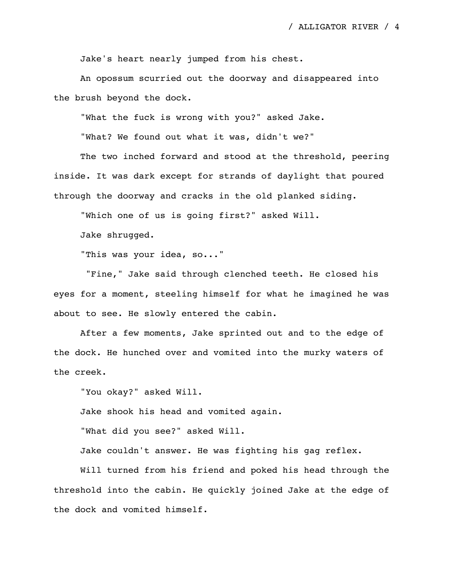Jake's heart nearly jumped from his chest.

An opossum scurried out the doorway and disappeared into the brush beyond the dock.

"What the fuck is wrong with you?" asked Jake.

"What? We found out what it was, didn't we?"

The two inched forward and stood at the threshold, peering inside. It was dark except for strands of daylight that poured through the doorway and cracks in the old planked siding.

"Which one of us is going first?" asked Will.

Jake shrugged.

"This was your idea, so..."

"Fine," Jake said through clenched teeth. He closed his eyes for a moment, steeling himself for what he imagined he was about to see. He slowly entered the cabin.

After a few moments, Jake sprinted out and to the edge of the dock. He hunched over and vomited into the murky waters of the creek.

"You okay?" asked Will.

Jake shook his head and vomited again.

"What did you see?" asked Will.

Jake couldn't answer. He was fighting his gag reflex.

Will turned from his friend and poked his head through the threshold into the cabin. He quickly joined Jake at the edge of the dock and vomited himself.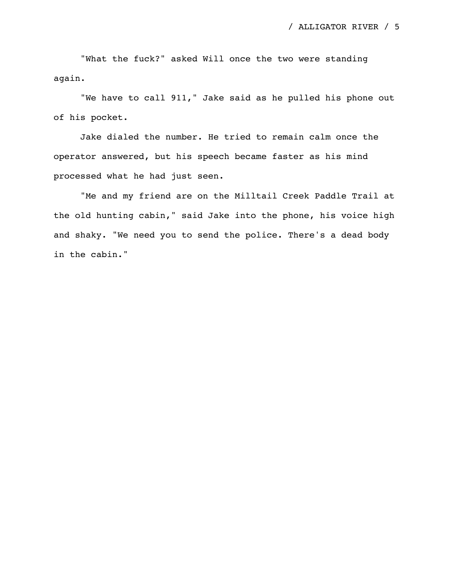"What the fuck?" asked Will once the two were standing again.

"We have to call 911," Jake said as he pulled his phone out of his pocket.

Jake dialed the number. He tried to remain calm once the operator answered, but his speech became faster as his mind processed what he had just seen.

"Me and my friend are on the Milltail Creek Paddle Trail at the old hunting cabin," said Jake into the phone, his voice high and shaky. "We need you to send the police. There's a dead body in the cabin."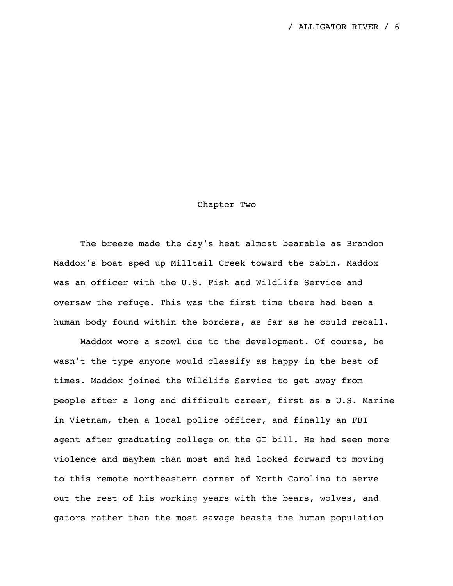## Chapter Two

The breeze made the day's heat almost bearable as Brandon Maddox's boat sped up Milltail Creek toward the cabin. Maddox was an officer with the U.S. Fish and Wildlife Service and oversaw the refuge. This was the first time there had been a human body found within the borders, as far as he could recall.

Maddox wore a scowl due to the development. Of course, he wasn't the type anyone would classify as happy in the best of times. Maddox joined the Wildlife Service to get away from people after a long and difficult career, first as a U.S. Marine in Vietnam, then a local police officer, and finally an FBI agent after graduating college on the GI bill. He had seen more violence and mayhem than most and had looked forward to moving to this remote northeastern corner of North Carolina to serve out the rest of his working years with the bears, wolves, and gators rather than the most savage beasts the human population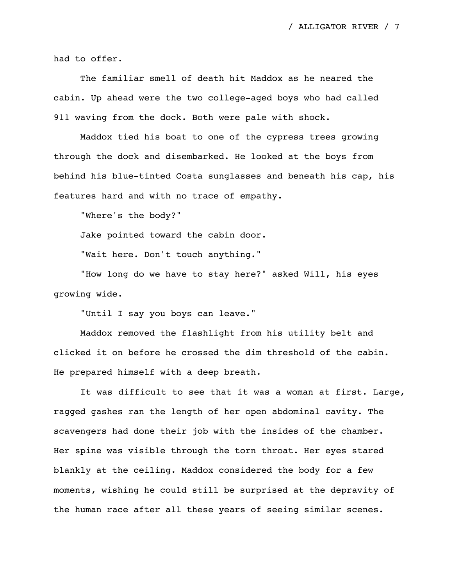had to offer.

The familiar smell of death hit Maddox as he neared the cabin. Up ahead were the two college-aged boys who had called 911 waving from the dock. Both were pale with shock.

Maddox tied his boat to one of the cypress trees growing through the dock and disembarked. He looked at the boys from behind his blue-tinted Costa sunglasses and beneath his cap, his features hard and with no trace of empathy.

"Where's the body?"

Jake pointed toward the cabin door.

"Wait here. Don't touch anything."

"How long do we have to stay here?" asked Will, his eyes growing wide.

"Until I say you boys can leave."

Maddox removed the flashlight from his utility belt and clicked it on before he crossed the dim threshold of the cabin. He prepared himself with a deep breath.

It was difficult to see that it was a woman at first. Large, ragged gashes ran the length of her open abdominal cavity. The scavengers had done their job with the insides of the chamber. Her spine was visible through the torn throat. Her eyes stared blankly at the ceiling. Maddox considered the body for a few moments, wishing he could still be surprised at the depravity of the human race after all these years of seeing similar scenes.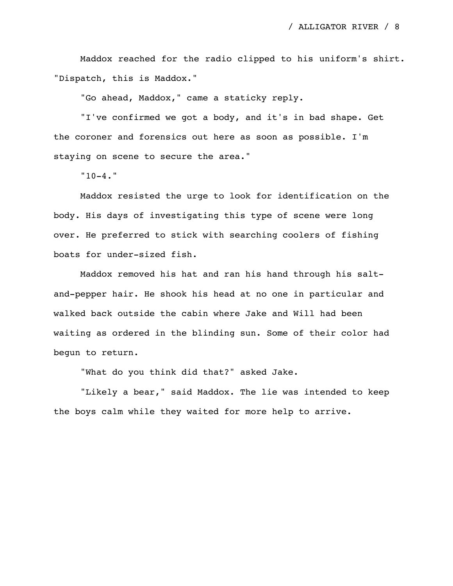Maddox reached for the radio clipped to his uniform's shirt. "Dispatch, this is Maddox."

"Go ahead, Maddox," came a staticky reply.

"I've confirmed we got a body, and it's in bad shape. Get the coroner and forensics out here as soon as possible. I'm staying on scene to secure the area."

 $"10-4."$ 

Maddox resisted the urge to look for identification on the body. His days of investigating this type of scene were long over. He preferred to stick with searching coolers of fishing boats for under-sized fish.

Maddox removed his hat and ran his hand through his saltand-pepper hair. He shook his head at no one in particular and walked back outside the cabin where Jake and Will had been waiting as ordered in the blinding sun. Some of their color had begun to return.

"What do you think did that?" asked Jake.

"Likely a bear," said Maddox. The lie was intended to keep the boys calm while they waited for more help to arrive.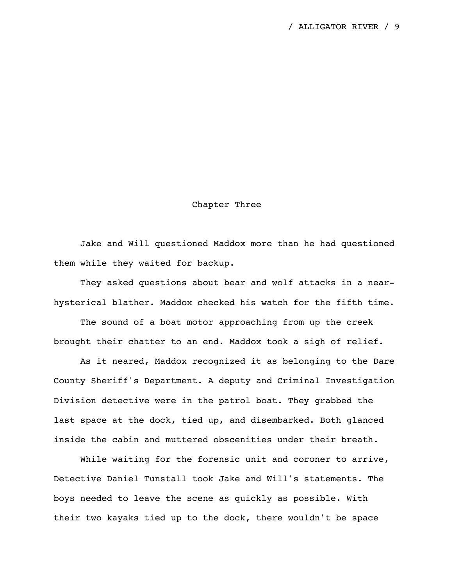## Chapter Three

Jake and Will questioned Maddox more than he had questioned them while they waited for backup.

They asked questions about bear and wolf attacks in a nearhysterical blather. Maddox checked his watch for the fifth time.

The sound of a boat motor approaching from up the creek brought their chatter to an end. Maddox took a sigh of relief.

As it neared, Maddox recognized it as belonging to the Dare County Sheriff's Department. A deputy and Criminal Investigation Division detective were in the patrol boat. They grabbed the last space at the dock, tied up, and disembarked. Both glanced inside the cabin and muttered obscenities under their breath.

While waiting for the forensic unit and coroner to arrive, Detective Daniel Tunstall took Jake and Will's statements. The boys needed to leave the scene as quickly as possible. With their two kayaks tied up to the dock, there wouldn't be space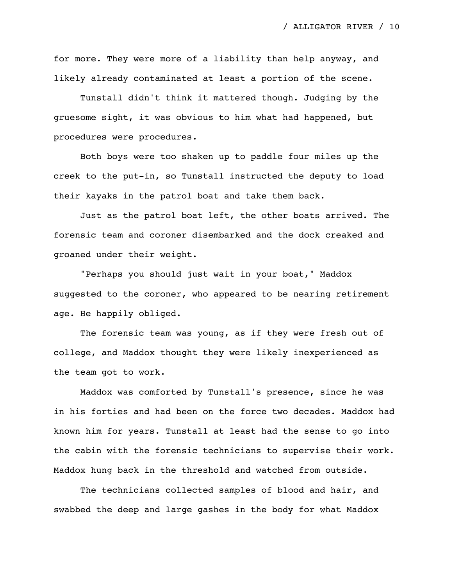for more. They were more of a liability than help anyway, and likely already contaminated at least a portion of the scene.

Tunstall didn't think it mattered though. Judging by the gruesome sight, it was obvious to him what had happened, but procedures were procedures.

Both boys were too shaken up to paddle four miles up the creek to the put-in, so Tunstall instructed the deputy to load their kayaks in the patrol boat and take them back.

Just as the patrol boat left, the other boats arrived. The forensic team and coroner disembarked and the dock creaked and groaned under their weight.

"Perhaps you should just wait in your boat," Maddox suggested to the coroner, who appeared to be nearing retirement age. He happily obliged.

The forensic team was young, as if they were fresh out of college, and Maddox thought they were likely inexperienced as the team got to work.

Maddox was comforted by Tunstall's presence, since he was in his forties and had been on the force two decades. Maddox had known him for years. Tunstall at least had the sense to go into the cabin with the forensic technicians to supervise their work. Maddox hung back in the threshold and watched from outside.

The technicians collected samples of blood and hair, and swabbed the deep and large gashes in the body for what Maddox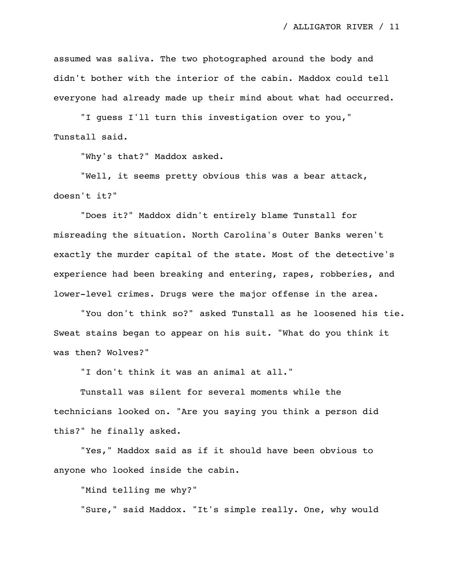assumed was saliva. The two photographed around the body and didn't bother with the interior of the cabin. Maddox could tell everyone had already made up their mind about what had occurred.

"I guess I'll turn this investigation over to you," Tunstall said.

"Why's that?" Maddox asked.

"Well, it seems pretty obvious this was a bear attack, doesn't it?"

"Does it?" Maddox didn't entirely blame Tunstall for misreading the situation. North Carolina's Outer Banks weren't exactly the murder capital of the state. Most of the detective's experience had been breaking and entering, rapes, robberies, and lower-level crimes. Drugs were the major offense in the area.

"You don't think so?" asked Tunstall as he loosened his tie. Sweat stains began to appear on his suit. "What do you think it was then? Wolves?"

"I don't think it was an animal at all."

Tunstall was silent for several moments while the technicians looked on. "Are you saying you think a person did this?" he finally asked.

"Yes," Maddox said as if it should have been obvious to anyone who looked inside the cabin.

"Mind telling me why?"

"Sure," said Maddox. "It's simple really. One, why would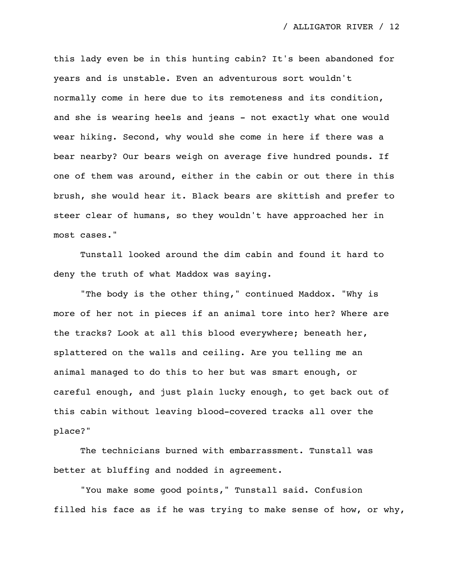this lady even be in this hunting cabin? It's been abandoned for years and is unstable. Even an adventurous sort wouldn't normally come in here due to its remoteness and its condition, and she is wearing heels and jeans - not exactly what one would wear hiking. Second, why would she come in here if there was a bear nearby? Our bears weigh on average five hundred pounds. If one of them was around, either in the cabin or out there in this brush, she would hear it. Black bears are skittish and prefer to steer clear of humans, so they wouldn't have approached her in most cases."

Tunstall looked around the dim cabin and found it hard to deny the truth of what Maddox was saying.

"The body is the other thing," continued Maddox. "Why is more of her not in pieces if an animal tore into her? Where are the tracks? Look at all this blood everywhere; beneath her, splattered on the walls and ceiling. Are you telling me an animal managed to do this to her but was smart enough, or careful enough, and just plain lucky enough, to get back out of this cabin without leaving blood-covered tracks all over the place?"

The technicians burned with embarrassment. Tunstall was better at bluffing and nodded in agreement.

"You make some good points," Tunstall said. Confusion filled his face as if he was trying to make sense of how, or why,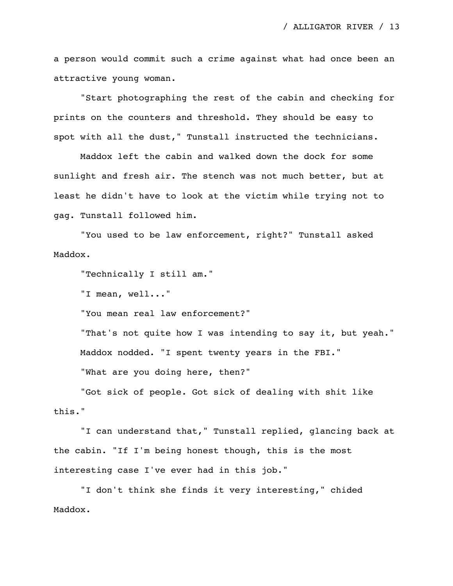a person would commit such a crime against what had once been an attractive young woman.

"Start photographing the rest of the cabin and checking for prints on the counters and threshold. They should be easy to spot with all the dust," Tunstall instructed the technicians.

Maddox left the cabin and walked down the dock for some sunlight and fresh air. The stench was not much better, but at least he didn't have to look at the victim while trying not to gag. Tunstall followed him.

"You used to be law enforcement, right?" Tunstall asked Maddox.

"Technically I still am."

"I mean, well..."

"You mean real law enforcement?"

"That's not quite how I was intending to say it, but yeah." Maddox nodded. "I spent twenty years in the FBI."

"What are you doing here, then?"

"Got sick of people. Got sick of dealing with shit like this."

"I can understand that," Tunstall replied, glancing back at the cabin. "If I'm being honest though, this is the most interesting case I've ever had in this job."

"I don't think she finds it very interesting," chided Maddox.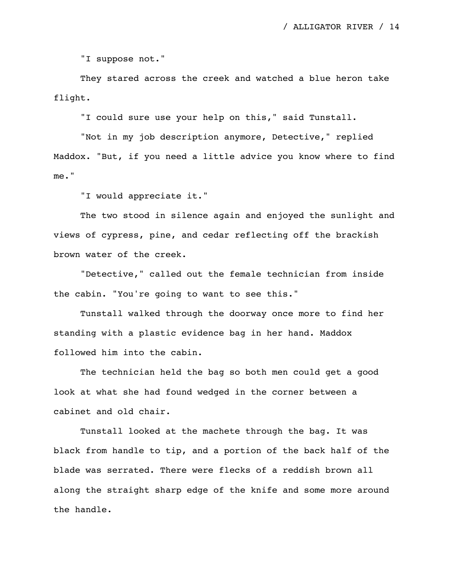"I suppose not."

They stared across the creek and watched a blue heron take flight.

"I could sure use your help on this," said Tunstall.

"Not in my job description anymore, Detective," replied Maddox. "But, if you need a little advice you know where to find me."

"I would appreciate it."

The two stood in silence again and enjoyed the sunlight and views of cypress, pine, and cedar reflecting off the brackish brown water of the creek.

"Detective," called out the female technician from inside the cabin. "You're going to want to see this."

Tunstall walked through the doorway once more to find her standing with a plastic evidence bag in her hand. Maddox followed him into the cabin.

The technician held the bag so both men could get a good look at what she had found wedged in the corner between a cabinet and old chair.

Tunstall looked at the machete through the bag. It was black from handle to tip, and a portion of the back half of the blade was serrated. There were flecks of a reddish brown all along the straight sharp edge of the knife and some more around the handle.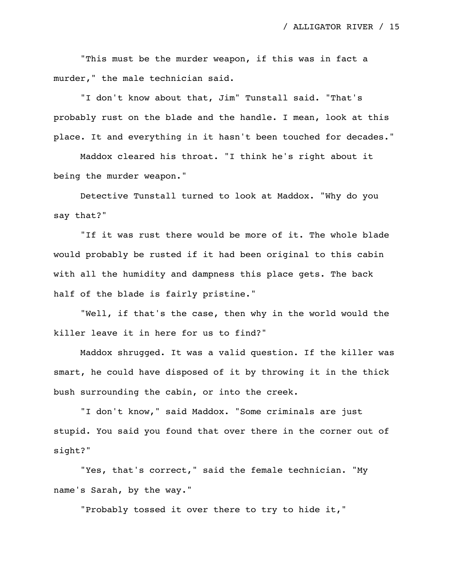"This must be the murder weapon, if this was in fact a murder," the male technician said.

"I don't know about that, Jim" Tunstall said. "That's probably rust on the blade and the handle. I mean, look at this place. It and everything in it hasn't been touched for decades."

Maddox cleared his throat. "I think he's right about it being the murder weapon."

Detective Tunstall turned to look at Maddox. "Why do you say that?"

"If it was rust there would be more of it. The whole blade would probably be rusted if it had been original to this cabin with all the humidity and dampness this place gets. The back half of the blade is fairly pristine."

"Well, if that's the case, then why in the world would the killer leave it in here for us to find?"

Maddox shrugged. It was a valid question. If the killer was smart, he could have disposed of it by throwing it in the thick bush surrounding the cabin, or into the creek.

"I don't know," said Maddox. "Some criminals are just stupid. You said you found that over there in the corner out of sight?"

"Yes, that's correct," said the female technician. "My name's Sarah, by the way."

"Probably tossed it over there to try to hide it,"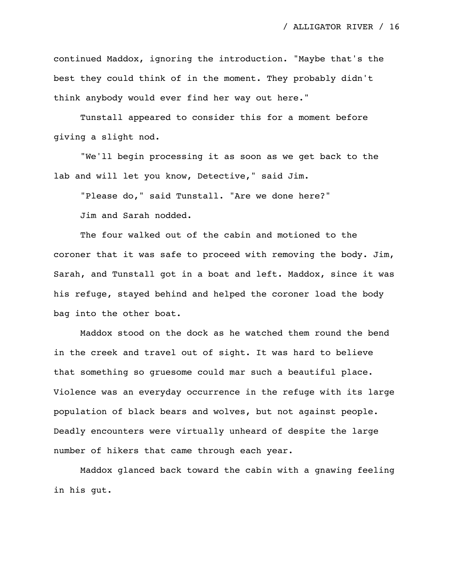continued Maddox, ignoring the introduction. "Maybe that's the best they could think of in the moment. They probably didn't think anybody would ever find her way out here."

Tunstall appeared to consider this for a moment before giving a slight nod.

"We'll begin processing it as soon as we get back to the lab and will let you know, Detective," said Jim.

"Please do," said Tunstall. "Are we done here?" Jim and Sarah nodded.

The four walked out of the cabin and motioned to the coroner that it was safe to proceed with removing the body. Jim, Sarah, and Tunstall got in a boat and left. Maddox, since it was his refuge, stayed behind and helped the coroner load the body bag into the other boat.

Maddox stood on the dock as he watched them round the bend in the creek and travel out of sight. It was hard to believe that something so gruesome could mar such a beautiful place. Violence was an everyday occurrence in the refuge with its large population of black bears and wolves, but not against people. Deadly encounters were virtually unheard of despite the large number of hikers that came through each year.

Maddox glanced back toward the cabin with a gnawing feeling in his gut.